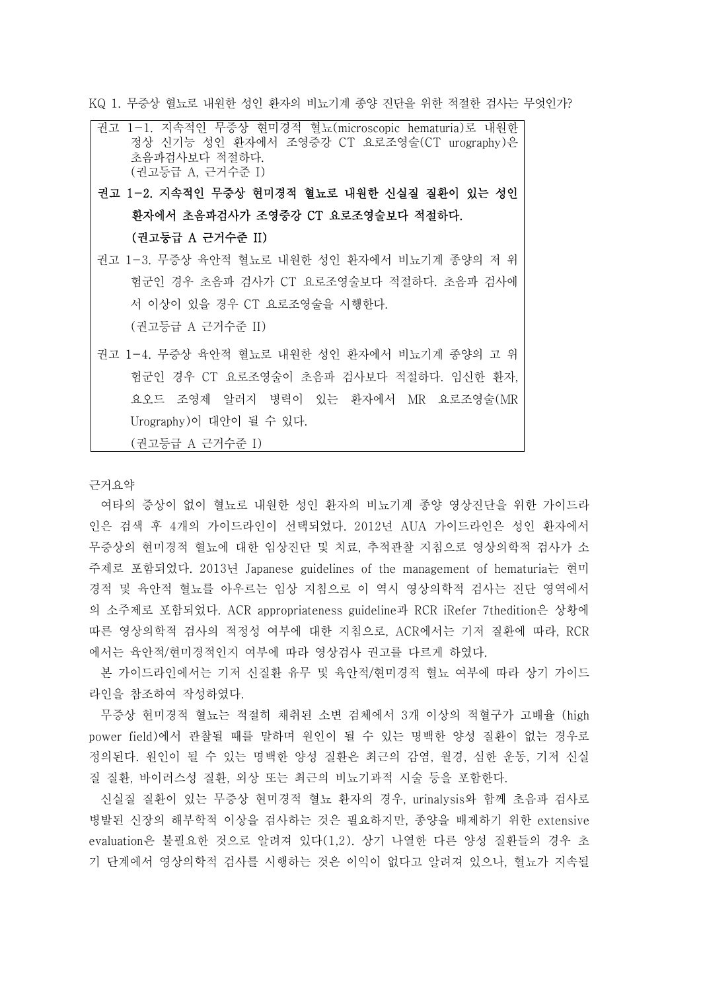KQ 1. 무증상 혈뇨로 내원한 성인 환자의 비뇨기계 종양 진단을 위한 적절한 검사는 무엇인가?

권고 1-1. 지속적인 무증상 현미경적 혈뇨(microscopic hematuria)로 내원한 정상 신기능 성인 환자에서 조영증강 CT 요로조영술(CT urography)은 초음파검사보다 적절하다.<br>(권고등급 A, 근거수준 I)

권고 1-2. 지속적인 무증상 현미경적 혈뇨로 내원한 신실질 질환이 있는 성인 환자에서 초음파검사가 조영증강 CT 요로조영술보다 적절하다.<br>(권고등급 A 근거수준 II)

- 권고 1-3. 무증상 육안적 혈뇨로 내원한 성인 환자에서 비뇨기계 종양의 저 위 험군인 경우 초음파 검사가 CT 요로조영술보다 적절하다. 초음파 검사에 서 이상이 있을 경우 CT 요로조영술을 시행한다. (권고등급 A 근거수준 II)
- 권고 1-4. 무증상 육안적 혈뇨로 내원한 성인 환자에서 비뇨기계 종양의 고 위 험군인 경우 CT 요로조영술이 초음파 검사보다 적절하다. 임신한 환자,<br>요오드 조영제 알러지 병력이 있는 환자에서 MR 요로조영술(MR Urography)이 대안이 될 수 있다. (권고등급 A 근거수준 I)

근거요약

여타의 증상이 없이 혈뇨로 내원한 성인 환자의 비뇨기계 종양 영상진단을 위한 가이드라 인은 검색 후 4개의 가이드라인이 선택되었다. 2012년 AUA 가이드라인은 성인 환자에서 무증상의 현미경적 혈뇨에 대한 임상진단 및 치료, 추적관찰 지침으로 영상의학적 검사가 소 주제로 포함되었다. 2013년 Japanese guidelines of the management of hematuria는 현미 경적 및 육안적 혈뇨를 아우르는 임상 지침으로 이 역시 영상의학적 검사는 진단 영역에서 의 소주제로 포함되었다. ACR appropriateness guideline과 RCR iRefer 7thedition은 상황에 따른 영상의학적 검사의 적정성 여부에 대한 지침으로, ACR에서는 기저 질환에 따라, RCR 에서는 육안적/현미경적인지 여부에 따라 영상검사 권고를 다르게 하였다.

본 가이드라인에서는 기저 신질환 유무 및 육안적/현미경적 혈뇨 여부에 따라 상기 가이드 라인을 참조하여 작성하였다.

무증상 현미경적 혈뇨는 적절히 채취된 소변 검체에서 3개 이상의 적혈구가 고배율 (high power field)에서 관찰될 때를 말하며 원인이 될 수 있는 명백한 양성 질환이 없는 경우로 정의된다. 원인이 될 수 있는 명백한 양성 질환은 최근의 감염, 월경, 심한 운동, 기저 신실 질 질환, 바이러스성 질환, 외상 또는 최근의 비뇨기과적 시술 등을 포함한다.

신실질 질환이 있는 무증상 현미경적 혈뇨 환자의 경우, urinalysis와 함께 초음파 검사로 병발된 신장의 해부학적 이상을 검사하는 것은 필요하지만, 종양을 배제하기 위한 extensive evaluation은 불필요한 것으로 알려져 있다(1,2). 상기 나열한 다른 양성 질환들의 경우 초 기 단계에서 영상의학적 검사를 시행하는 것은 이익이 없다고 알려져 있으나, 혈뇨가 지속될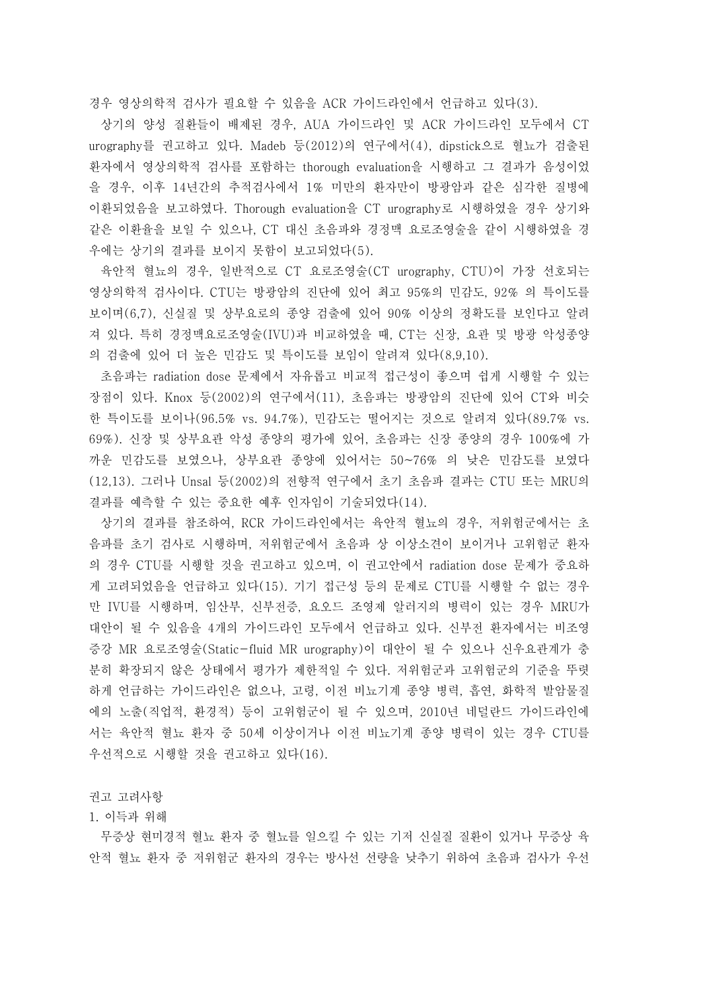경우 영상의학적 검사가 필요할 수 있음을 ACR 가이드라인에서 언급하고 있다(3).

상기의 양성 질환들이 배제된 경우, AUA 가이드라인 및 ACR 가이드라인 모두에서 CT urography를 권고하고 있다. Madeb 등(2012)의 연구에서(4), dipstick으로 혈뇨가 검출된 환자에서 영상의학적 검사를 포함하는 thorough evaluation을 시행하고 그 결과가 음성이었 을 경우, 이후 14년간의 추적검사에서 1% 미만의 환자만이 방광암과 같은 심각한 질병에 이환되었음을 보고하였다. Thorough evaluation을 CT urography로 시행하였을 경우 상기와 같은 이환율을 보일 수 있으나, CT 대신 초음파와 경정맥 요로조영술을 같이 시행하였을 경 우에는 상기의 결과를 보이지 못함이 보고되었다(5).

육안적 혈뇨의 경우, 일반적으로 CT 요로조영술(CT urography, CTU)이 가장 선호되는 영상의학적 검사이다. CTU는 방광암의 진단에 있어 최고 95%의 민감도, 92% 의 특이도를 보이며(6,7), 신실질 및 상부요로의 종양 검출에 있어 90% 이상의 정확도를 보인다고 알려 져 있다. 특히 경정맥요로조영술(IVU)과 비교하였을 때, CT는 신장, 요관 및 방광 악성종양 의 검출에 있어 더 높은 민감도 및 특이도를 보임이 알려져 있다(8,9,10).

초음파는 radiation dose 문제에서 자유롭고 비교적 접근성이 좋으며 쉽게 시행할 수 있는 장점이 있다. Knox 등(2002)의 연구에서(11), 초음파는 방광암의 진단에 있어 CT와 비슷 한 특이도를 보이나(96.5% vs. 94.7%), 민감도는 떨어지는 것으로 알려져 있다(89.7% vs. 69%). 신장 및 상부요관 악성 종양의 평가에 있어, 초음파는 신장 종양의 경우 100%에 가 까운 민감도를 보였으나, 상부요관 종양에 있어서는 50~76% 의 낮은 민감도를 보였다 (12,13). 그러나 Unsal 등(2002)의 전향적 연구에서 초기 초음파 결과는 CTU 또는 MRU의 결과를 예측할 수 있는 중요한 예후 인자임이 기술되었다(14).

상기의 결과를 참조하여, RCR 가이드라인에서는 육안적 혈뇨의 경우, 저위험군에서는 초 음파를 초기 검사로 시행하며, 저위험군에서 초음파 상 이상소견이 보이거나 고위험군 환자 의 경우 CTU를 시행할 것을 권고하고 있으며, 이 권고안에서 radiation dose 문제가 중요하 게 고려되었음을 언급하고 있다(15). 기기 접근성 등의 문제로 CTU를 시행할 수 없는 경우 만 IVU를 시행하며, 임산부, 신부전증, 요오드 조영제 알러지의 병력이 있는 경우 MRU가 대안이 될 수 있음을 4개의 가이드라인 모두에서 언급하고 있다. 신부전 환자에서는 비조영 증강 MR 요로조영술(Static-fluid MR urography)이 대안이 될 수 있으나 신우요관계가 충 분히 확장되지 않은 상태에서 평가가 제한적일 수 있다. 저위험군과 고위험군의 기준을 뚜렷 하게 언급하는 가이드라인은 없으나, 고령, 이전 비뇨기계 종양 병력, 흡연, 화학적 발암물질 에의 노출(직업적, 환경적) 등이 고위험군이 될 수 있으며, 2010년 네덜란드 가이드라인에 서는 육안적 혈뇨 환자 중 50세 이상이거나 이전 비뇨기계 종양 병력이 있는 경우 CTU를 우선적으로 시행할 것을 권고하고 있다(16).

## 권고 고려사항

## 1. 이득과 위해

무증상 현미경적 혈뇨 환자 중 혈뇨를 일으킬 수 있는 기저 신실질 질환이 있거나 무증상 육 안적 혈뇨 환자 중 저위험군 환자의 경우는 방사선 선량을 낮추기 위하여 초음파 검사가 우선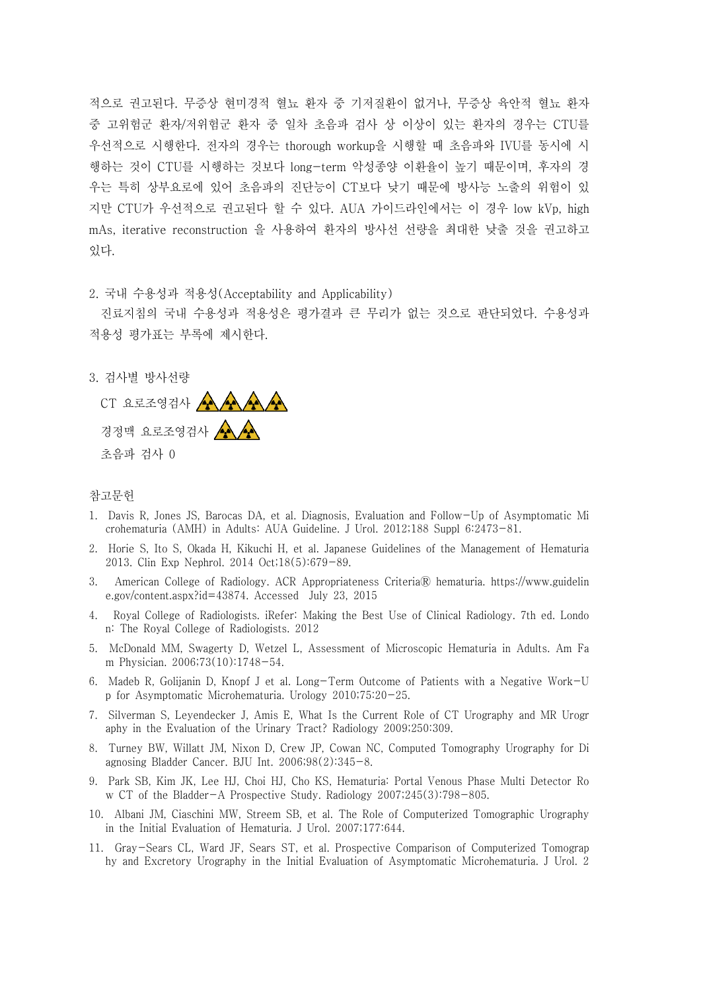적으로 권고된다. 무증상 현미경적 혈뇨 환자 중 기저질환이 없거나, 무증상 육안적 혈뇨 환자 중 고위험군 환자/저위험군 환자 중 일차 초음파 검사 상 이상이 있는 환자의 경우는 CTU를 우선적으로 시행한다. 전자의 경우는 thorough workup을 시행할 때 초음파와 IVU를 동시에 시 행하는 것이 CTU를 시행하는 것보다 long-term 악성종양 이환율이 높기 때문이며, 후자의 경 우는 특히 상부요로에 있어 초음파의 진단능이 CT보다 낮기 때문에 방사능 노출의 위험이 있 지만 CTU가 우선적으로 권고된다 할 수 있다. AUA 가이드라인에서는 이 경우 low kVp, high mAs, iterative reconstruction 을 사용하여 환자의 방사선 선량을 최대한 낮출 것을 권고하고 있다.<br>2. 국내 수용성과 적용성(Acceptability and Applicability)

진료지침의 국내 수용성과 적용성은 평가결과 큰 무리가 없는 것으로 판단되었다. 수용성과 적용성 평가표는 부록에 제시한다.

3. 검사별 방사선량

CT 요로조영검사 경정맥 요로조영검사 <> 초음파 검사 0

## 참고문헌

- 1. Davis R, Jones JS, Barocas DA, et al. Diagnosis, Evaluation and Follow-Up of Asymptomatic Mi crohematuria (AMH) in Adults: AUA Guideline. J Urol. 2012;188 Suppl 6:2473-81.
- 2. Horie S, Ito S, Okada H, Kikuchi H, et al. Japanese Guidelines of the Management of Hematuria 2013. Clin Exp Nephrol. 2014 Oct;18(5):679-89.
- 3. American College of Radiology. ACR Appropriateness CriteriaⓇ hematuria. https://www.guidelin e.gov/content.aspx?id=43874. Accessed July 23, 2015
- 4. Royal College of Radiologists. iRefer: Making the Best Use of Clinical Radiology. 7th ed. Londo n: The Royal College of Radiologists. 2012
- 5. McDonald MM, Swagerty D, Wetzel L, Assessment of Microscopic Hematuria in Adults. Am Fa m Physician. 2006;73(10):1748-54.
- 6. Madeb R, Golijanin D, Knopf J et al. Long-Term Outcome of Patients with a Negative Work-U p for Asymptomatic Microhematuria. Urology 2010;75:20-25.
- 7. Silverman S, Leyendecker J, Amis E, What Is the Current Role of CT Urography and MR Urogr aphy in the Evaluation of the Urinary Tract? Radiology 2009;250:309.
- 8. Turney BW, Willatt JM, Nixon D, Crew JP, Cowan NC, Computed Tomography Urography for Di agnosing Bladder Cancer. BJU Int. 2006;98(2):345-8.
- 9. Park SB, Kim JK, Lee HJ, Choi HJ, Cho KS, Hematuria: Portal Venous Phase Multi Detector Ro w CT of the Bladder-A Prospective Study. Radiology 2007;245(3):798-805.
- 10. Albani JM, Ciaschini MW, Streem SB, et al. The Role of Computerized Tomographic Urography in the Initial Evaluation of Hematuria. J Urol. 2007;177:644.
- 11. Gray-Sears CL, Ward JF, Sears ST, et al. Prospective Comparison of Computerized Tomograp hy and Excretory Urography in the Initial Evaluation of Asymptomatic Microhematuria. J Urol. 2